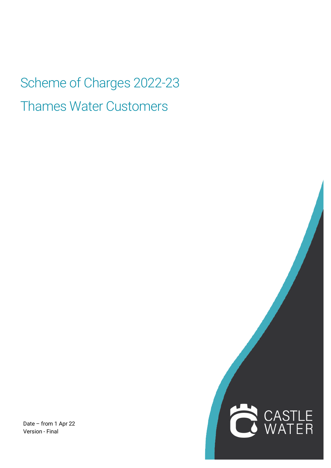Scheme of Charges 2022-23 Thames Water Customers

Date – from 1 Apr 22 Version - Final

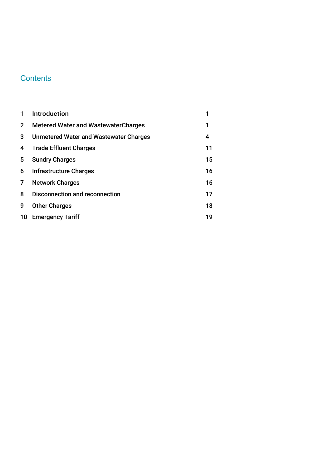# **Contents**

| 1            | <b>Introduction</b>                           | 1  |
|--------------|-----------------------------------------------|----|
| $\mathbf{2}$ | <b>Metered Water and Wastewater Charges</b>   | 1  |
| 3            | <b>Unmetered Water and Wastewater Charges</b> | 4  |
| 4            | <b>Trade Effluent Charges</b>                 | 11 |
| 5.           | <b>Sundry Charges</b>                         | 15 |
| 6            | Infrastructure Charges                        | 16 |
| 7            | <b>Network Charges</b>                        | 16 |
| 8            | <b>Disconnection and reconnection</b>         | 17 |
| 9            | <b>Other Charges</b>                          | 18 |
| 10           | <b>Emergency Tariff</b>                       | 19 |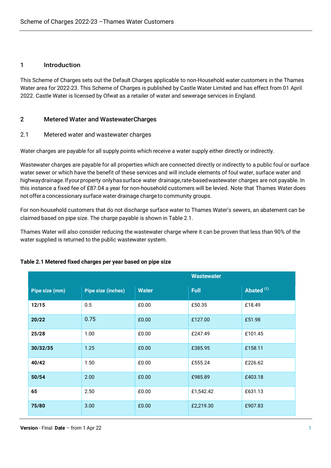# 1 Introduction

This Scheme of Charges sets out the Default Charges applicable to non-Household water customers in the Thames Water area for 2022-23. This Scheme of Charges is published by Castle Water Limited and has effect from 01 April 2022. Castle Water is licensed by Ofwat as a retailer of water and sewerage services in England.

# 2 Metered Water and WastewaterCharges

#### 2.1 Metered water and wastewater charges

Water charges are payable for all supply points which receive a water supply either directly or indirectly.

Wastewater charges are payable for all properties which are connected directly or indirectly to a public foul or surface water sewer or which have the benefit of these services and will include elements of foul water, surface water and highwaydrainage.Ifyourproperty onlyhassurface water drainage,rate-basedwastewater charges are not payable. In this instance a fixed fee of £87.04 a year for non-household customers will be levied. Note that Thames Water does not offer a concessionary surface water drainage chargeto community groups.

For non-household customers that do not discharge surface water to Thames Water's sewers, an abatement can be claimed based on pipe size. The charge payable is shown in Table 2.1.

Thames Water will also consider reducing the wastewater charge where it can be proven that less than 90% of the water supplied is returned to the public wastewater system.

|                |                           |              | <b>Wastewater</b> |              |
|----------------|---------------------------|--------------|-------------------|--------------|
| Pipe size (mm) | <b>Pipe size (inches)</b> | <b>Water</b> | <b>Full</b>       | Abated $(1)$ |
| 12/15          | 0.5                       | £0.00        | £50.35            | £18.49       |
| 20/22          | 0.75                      | £0.00        | £127.00           | £51.98       |
| 25/28          | 1.00                      | £0.00        | £247.49           | £101.45      |
| 30/32/35       | 1.25                      | £0.00        | £385.95           | £158.11      |
| 40/42          | 1.50                      | £0.00        | £555.24           | £226.62      |
| 50/54          | 2.00                      | £0.00        | £985.89           | £403.18      |
| 65             | 2.50                      | £0.00        | £1,542.42         | £631.13      |
| 75/80          | 3.00                      | £0.00        | £2,219.30         | £907.83      |

# **Table 2.1 Metered fixed charges per year based on pipe size**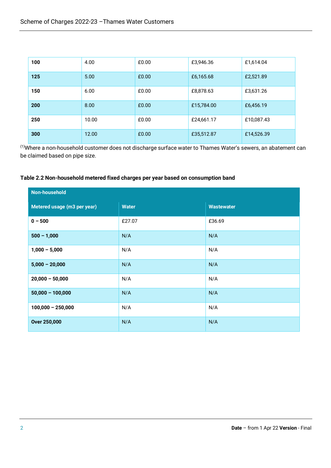| 100 | 4.00  | £0.00 | £3,946.36  | £1,614.04  |
|-----|-------|-------|------------|------------|
| 125 | 5.00  | £0.00 | £6,165.68  | £2,521.89  |
| 150 | 6.00  | £0.00 | £8,878.63  | £3,631.26  |
| 200 | 8.00  | £0.00 | £15,784.00 | £6,456.19  |
| 250 | 10.00 | £0.00 | £24,661.17 | £10,087.43 |
| 300 | 12.00 | £0.00 | £35,512.87 | £14,526.39 |

(1)Where a non-household customer does not discharge surface water to Thames Water's sewers, an abatement can be claimed based on pipe size.

# **Table 2.2 Non-household metered fixed charges per year based on consumption band**

| <b>Non-household</b>        |              |                   |  |
|-----------------------------|--------------|-------------------|--|
| Metered usage (m3 per year) | <b>Water</b> | <b>Wastewater</b> |  |
| $0 - 500$                   | £27.07       | £36.69            |  |
| $500 - 1,000$               | N/A          | N/A               |  |
| $1,000 - 5,000$             | N/A          | N/A               |  |
| $5,000 - 20,000$            | N/A          | N/A               |  |
| $20,000 - 50,000$           | N/A          | N/A               |  |
| $50,000 - 100,000$          | N/A          | N/A               |  |
| $100,000 - 250,000$         | N/A          | N/A               |  |
| <b>Over 250,000</b>         | N/A          | N/A               |  |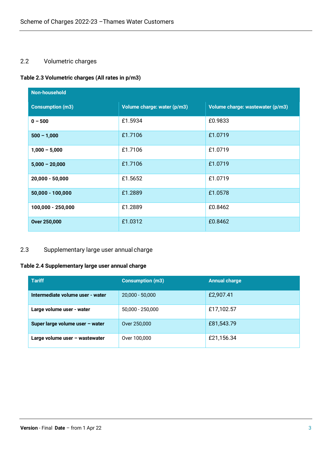# 2.2 Volumetric charges

# **Table 2.3 Volumetric charges (All rates in p/m3)**

| Non-household           |                             |                                  |  |  |
|-------------------------|-----------------------------|----------------------------------|--|--|
| <b>Consumption (m3)</b> | Volume charge: water (p/m3) | Volume charge: wastewater (p/m3) |  |  |
| $0 - 500$               | £1.5934                     | £0.9833                          |  |  |
| $500 - 1,000$           | £1.7106                     | £1.0719                          |  |  |
| $1,000 - 5,000$         | £1.7106                     | £1.0719                          |  |  |
| $5,000 - 20,000$        | £1.7106                     | £1.0719                          |  |  |
| $20,000 - 50,000$       | £1.5652                     | £1.0719                          |  |  |
| $50,000 - 100,000$      | £1.2889                     | £1.0578                          |  |  |
| 100,000 - 250,000       | £1.2889                     | £0.8462                          |  |  |
| <b>Over 250,000</b>     | £1.0312                     | £0.8462                          |  |  |

# 2.3 Supplementary large user annual charge

# **Table 2.4 Supplementary large user annual charge**

| <b>Tariff</b>                    | <b>Consumption (m3)</b> | <b>Annual charge</b> |
|----------------------------------|-------------------------|----------------------|
| Intermediate volume user - water | $20,000 - 50,000$       | £2,907.41            |
| Large volume user - water        | 50,000 - 250,000        | £17,102.57           |
| Super large volume user - water  | Over 250,000            | £81,543.79           |
| Large volume user - wastewater   | Over 100,000            | £21,156.34           |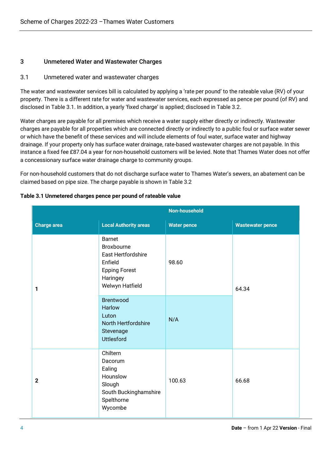# 3 Unmetered Water and Wastewater Charges

# 3.1 Unmetered water and wastewater charges

The water and wastewater services bill is calculated by applying a 'rate per pound' to the rateable value (RV) of your property. There is a different rate for water and wastewater services, each expressed as pence per pound (of RV) and disclosed in Table 3.1. In addition, a yearly 'fixed charge' is applied; disclosed in Table 3.2.

Water charges are payable for all premises which receive a water supply either directly or indirectly. Wastewater charges are payable for all properties which are connected directly or indirectly to a public foul or surface water sewer or which have the benefit of these services and will include elements of foul water, surface water and highway drainage. If your property only has surface water drainage, rate-based wastewater charges are not payable. In this instance a fixed fee £87.04 a year for non-household customers will be levied. Note that Thames Water does not offer a concessionary surface water drainage charge to community groups.

For non-household customers that do not discharge surface water to Thames Water's sewers, an abatement can be claimed based on pipe size. The charge payable is shown in Table 3.2

| <b>Non-household</b> |                                                                                                                                  |                    |                         |
|----------------------|----------------------------------------------------------------------------------------------------------------------------------|--------------------|-------------------------|
| <b>Charge area</b>   | <b>Local Authority areas</b>                                                                                                     | <b>Water pence</b> | <b>Wastewater pence</b> |
| 1                    | <b>Barnet</b><br>Broxbourne<br>East Hertfordshire<br>Enfield<br><b>Epping Forest</b><br>Haringey<br>Welwyn Hatfield<br>Brentwood | 98.60              | 64.34                   |
|                      | Harlow<br>Luton<br>North Hertfordshire<br>Stevenage<br><b>Uttlesford</b>                                                         | N/A                |                         |
| $\mathbf{2}$         | Chiltern<br>Dacorum<br>Ealing<br>Hounslow<br>Slough<br>South Buckinghamshire<br>Spelthorne<br>Wycombe                            | 100.63             | 66.68                   |

#### **Table 3.1 Unmetered charges pence per pound of rateable value**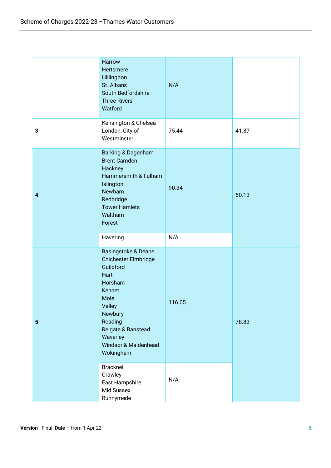|                         | Harrow<br>Hertsmere<br>Hillingdon<br>St. Albans<br>South Bedfordshire<br><b>Three Rivers</b><br>Watford                                                                                              | N/A    |       |
|-------------------------|------------------------------------------------------------------------------------------------------------------------------------------------------------------------------------------------------|--------|-------|
| 3                       | Kensington & Chelsea<br>London, City of<br>Westminster                                                                                                                                               | 75.44  | 41.87 |
| $\overline{\mathbf{4}}$ | Barking & Dagenham<br><b>Brent Camden</b><br>Hackney<br>Hammersmith & Fulham<br>Islington<br>Newham<br>Redbridge<br><b>Tower Hamlets</b><br>Waltham<br>Forest                                        | 90.34  | 60.13 |
|                         | Havering                                                                                                                                                                                             | N/A    |       |
| $5\phantom{.0}$         | Basingstoke & Deane<br>Chichester Elmbridge<br>Guildford<br>Hart<br>Horsham<br>Kennet<br>Mole<br>Valley<br>Newbury<br>Reading<br>Reigate & Banstead<br>Waverley<br>Windsor & Maidenhead<br>Wokingham | 116.05 | 78.83 |
|                         | <b>Bracknell</b><br>Crawley<br>East Hampshire<br>Mid Sussex<br>Runnymede                                                                                                                             | N/A    |       |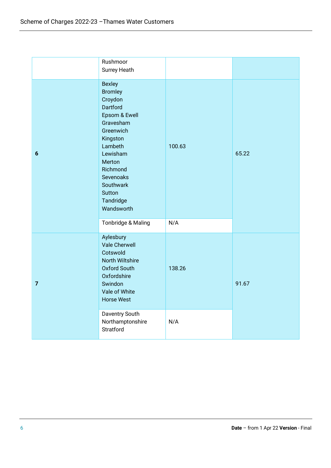|                | Rushmoor<br>Surrey Heath                                                                                                                                                                                                  |        |       |
|----------------|---------------------------------------------------------------------------------------------------------------------------------------------------------------------------------------------------------------------------|--------|-------|
| $6\phantom{1}$ | <b>Bexley</b><br><b>Bromley</b><br>Croydon<br>Dartford<br>Epsom & Ewell<br>Gravesham<br>Greenwich<br>Kingston<br>Lambeth<br>Lewisham<br>Merton<br>Richmond<br>Sevenoaks<br>Southwark<br>Sutton<br>Tandridge<br>Wandsworth | 100.63 | 65.22 |
|                | Tonbridge & Maling                                                                                                                                                                                                        | N/A    |       |
| $\overline{7}$ | Aylesbury<br><b>Vale Cherwell</b><br>Cotswold<br>North Wiltshire<br><b>Oxford South</b><br>Oxfordshire<br>Swindon<br>Vale of White<br><b>Horse West</b>                                                                   | 138.26 | 91.67 |
|                | Daventry South<br>Northamptonshire<br>Stratford                                                                                                                                                                           | N/A    |       |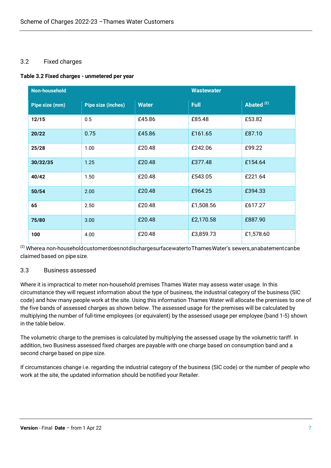# 3.2 Fixed charges

#### **Table 3.2 Fixed charges - unmetered per year**

| Non-household  |                           |              | <b>Wastewater</b> |                       |
|----------------|---------------------------|--------------|-------------------|-----------------------|
| Pipe size (mm) | <b>Pipe size (inches)</b> | <b>Water</b> | <b>Full</b>       | Abated <sup>(2)</sup> |
| 12/15          | 0.5                       | £45.86       | £85.48            | £53.82                |
| 20/22          | 0.75                      | £45.86       | £161.65           | £87.10                |
| 25/28          | 1.00                      | £20.48       | £242.06           | £99.22                |
| 30/32/35       | 1.25                      | £20.48       | £377.48           | £154.64               |
| 40/42          | 1.50                      | £20.48       | £543.05           | £221.64               |
| 50/54          | 2.00                      | £20.48       | £964.25           | £394.33               |
| 65             | 2.50                      | £20.48       | £1,508.56         | £617.27               |
| 75/80          | 3.00                      | £20.48       | £2,170.58         | £887.90               |
| 100            | 4.00                      | £20.48       | £3,859.73         | £1,578.60             |

(2) Wherea non-householdcustomerdoesnotdischargesurfacewatertoThamesWater's sewers,anabatementcanbe claimed based on pipe size.

# 3.3 Business assessed

Where it is impractical to meter non-household premises Thames Water may assess water usage. In this circumstance they will request information about the type of business, the industrial category of the business (SIC code) and how many people work at the site. Using this information Thames Water will allocate the premises to one of the five bands of assessed charges as shown below. The assessed usage for the premises will be calculated by multiplying the number of full-time employees (or equivalent) by the assessed usage per employee (band 1-5) shown in the table below.

The volumetric charge to the premises is calculated by multiplying the assessed usage by the volumetric tariff. In addition, two Business assessed fixed charges are payable with one charge based on consumption band and a second charge based on pipe size.

If circumstances change i.e. regarding the industrial category of the business (SIC code) or the number of people who work at the site, the updated information should be notified your Retailer.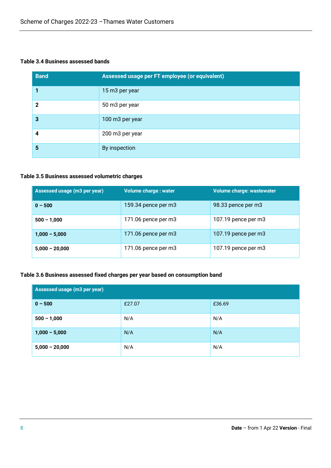# **Table 3.4 Business assessed bands**

| <b>Band</b>  | Assessed usage per FT employee (or equivalent) |
|--------------|------------------------------------------------|
|              | 15 m3 per year                                 |
| $\mathbf{Z}$ | 50 m3 per year                                 |
| 3            | 100 m3 per year                                |
| 4            | 200 m3 per year                                |
| 5            | By inspection                                  |

#### **Table 3.5 Business assessed volumetric charges**

| Assessed usage (m3 per year) | <b>Volume charge: water</b> | Volume charge: wastewater |
|------------------------------|-----------------------------|---------------------------|
| $0 - 500$                    | 159.34 pence per m3         | 98.33 pence per m3        |
| $500 - 1,000$                | $171.06$ pence per m $3$    | 107.19 pence per m3       |
| $1,000 - 5,000$              | 171.06 pence per m3         | 107.19 pence per m3       |
| $5,000 - 20,000$             | 171.06 pence per m3         | 107.19 pence per m3       |

#### **Table 3.6 Business assessed fixed charges per year based on consumption band**

| Assessed usage (m3 per year) |        |        |  |  |
|------------------------------|--------|--------|--|--|
| $0 - 500$                    | £27.07 | £36.69 |  |  |
| $500 - 1,000$                | N/A    | N/A    |  |  |
| $1,000 - 5,000$              | N/A    | N/A    |  |  |
| $5,000 - 20,000$             | N/A    | N/A    |  |  |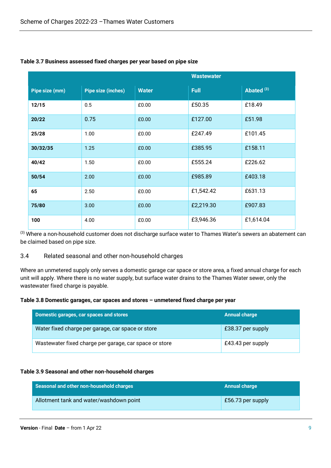|                | <b>Wastewater</b>         |              |             |              |
|----------------|---------------------------|--------------|-------------|--------------|
| Pipe size (mm) | <b>Pipe size (inches)</b> | <b>Water</b> | <b>Full</b> | Abated $(3)$ |
| 12/15          | 0.5                       | £0.00        | £50.35      | £18.49       |
| 20/22          | 0.75                      | £0.00        | £127.00     | £51.98       |
| 25/28          | 1.00                      | £0.00        | £247.49     | £101.45      |
| 30/32/35       | 1.25                      | £0.00        | £385.95     | £158.11      |
| 40/42          | 1.50                      | £0.00        | £555.24     | £226.62      |
| 50/54          | 2.00                      | £0.00        | £985.89     | £403.18      |
| 65             | 2.50                      | £0.00        | £1,542.42   | £631.13      |
| 75/80          | 3.00                      | £0.00        | £2,219.30   | £907.83      |
| 100            | 4.00                      | £0.00        | £3,946.36   | £1,614.04    |

# **Table 3.7 Business assessed fixed charges per year based on pipe size**

(3) Where a non-household customer does not discharge surface water to Thames Water's sewers an abatement can be claimed based on pipe size.

#### 3.4 Related seasonal and other non-household charges

Where an unmetered supply only serves a domestic garage car space or store area, a fixed annual charge for each unit will apply. Where there is no water supply, but surface water drains to the Thames Water sewer, only the wastewater fixed charge is payable.

#### **Table 3.8 Domestic garages, car spaces and stores – unmetered fixed charge per year**

| Domestic garages, car spaces and stores                | <b>Annual charge</b> |
|--------------------------------------------------------|----------------------|
| Water fixed charge per garage, car space or store      | £38.37 per supply    |
| Wastewater fixed charge per garage, car space or store | £43.43 per supply    |

#### **Table 3.9 Seasonal and other non-household charges**

| Seasonal and other non-household charges | <b>Annual charge</b> |
|------------------------------------------|----------------------|
| Allotment tank and water/washdown point  | £56.73 per supply    |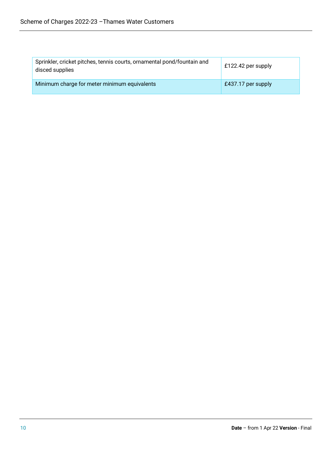| Sprinkler, cricket pitches, tennis courts, ornamental pond/fountain and<br>disced supplies | £122.42 per supply |
|--------------------------------------------------------------------------------------------|--------------------|
| Minimum charge for meter minimum equivalents                                               | £437.17 per supply |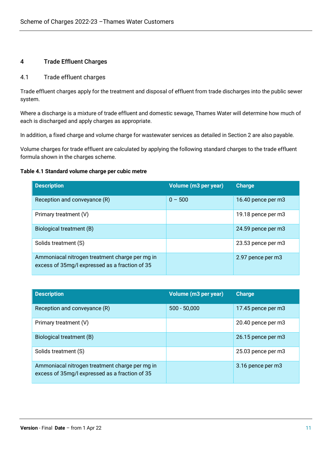# 4 Trade Effluent Charges

### 4.1 Trade effluent charges

Trade effluent charges apply for the treatment and disposal of effluent from trade discharges into the public sewer system.

Where a discharge is a mixture of trade effluent and domestic sewage, Thames Water will determine how much of each is discharged and apply charges as appropriate.

In addition, a fixed charge and volume charge for wastewater services as detailed in Section 2 are also payable.

Volume charges for trade effluent are calculated by applying the following standard charges to the trade effluent formula shown in the charges scheme.

#### **Table 4.1 Standard volume charge per cubic metre**

| <b>Description</b>                                                                               | Volume (m3 per year) | <b>Charge</b>      |
|--------------------------------------------------------------------------------------------------|----------------------|--------------------|
| Reception and conveyance (R)                                                                     | $0 - 500$            | 16.40 pence per m3 |
| Primary treatment (V)                                                                            |                      | 19.18 pence per m3 |
| Biological treatment (B)                                                                         |                      | 24.59 pence per m3 |
| Solids treatment (S)                                                                             |                      | 23.53 pence per m3 |
| Ammoniacal nitrogen treatment charge per mg in<br>excess of 35mg/l expressed as a fraction of 35 |                      | 2.97 pence per m3  |

| <b>Description</b>                                                                               | Volume (m3 per year) | <b>Charge</b>      |
|--------------------------------------------------------------------------------------------------|----------------------|--------------------|
| Reception and conveyance (R)                                                                     | $500 - 50,000$       | 17.45 pence per m3 |
| Primary treatment (V)                                                                            |                      | 20.40 pence per m3 |
| Biological treatment (B)                                                                         |                      | 26.15 pence per m3 |
| Solids treatment (S)                                                                             |                      | 25.03 pence per m3 |
| Ammoniacal nitrogen treatment charge per mg in<br>excess of 35mg/l expressed as a fraction of 35 |                      | 3.16 pence per m3  |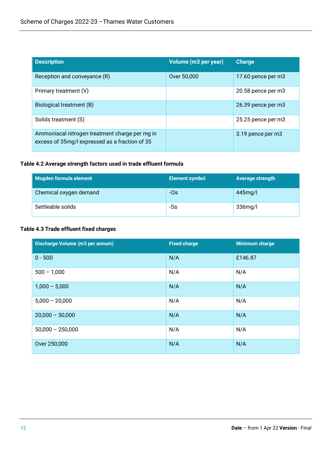| <b>Description</b>                                                                               | Volume (m3 per year) | <b>Charge</b>      |
|--------------------------------------------------------------------------------------------------|----------------------|--------------------|
| Reception and conveyance (R)                                                                     | Over 50,000          | 17.60 pence per m3 |
| Primary treatment (V)                                                                            |                      | 20.58 pence per m3 |
| Biological treatment (B)                                                                         |                      | 26.39 pence per m3 |
| Solids treatment (S)                                                                             |                      | 25.25 pence per m3 |
| Ammoniacal nitrogen treatment charge per mg in<br>excess of 35mg/l expressed as a fraction of 35 |                      | 3.19 pence per m3  |

#### **Table 4.2 Average strength factors used in trade effluent formula**

| Mogden formula element | <b>Element symbol</b> | Average strength |
|------------------------|-----------------------|------------------|
| Chemical oxygen demand | $-OS$                 | 445mg/l          |
| Settleable solids      | -Ss                   | 336mg/l          |

# **Table 4.3 Trade effluent fixed charges**

| Discharge Volume (m3 per annum) | <b>Fixed charge</b> | <b>Minimum charge</b> |
|---------------------------------|---------------------|-----------------------|
| $0 - 500$                       | N/A                 | £146.87               |
| $500 - 1,000$                   | N/A                 | N/A                   |
| $1,000 - 5,000$                 | N/A                 | N/A                   |
| $5,000 - 20,000$                | N/A                 | N/A                   |
| $20,000 - 50,000$               | N/A                 | N/A                   |
| $50,000 - 250,000$              | N/A                 | N/A                   |
| Over 250,000                    | N/A                 | N/A                   |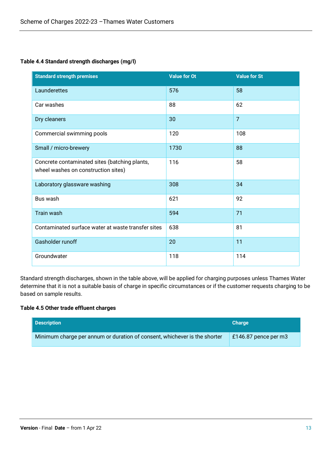# **Table 4.4 Standard strength discharges (mg/l)**

| <b>Standard strength premises</b>                                                    | <b>Value for Ot</b> | <b>Value for St</b> |
|--------------------------------------------------------------------------------------|---------------------|---------------------|
| Launderettes                                                                         | 576                 | 58                  |
| Car washes                                                                           | 88                  | 62                  |
| Dry cleaners                                                                         | 30                  | $\overline{7}$      |
| Commercial swimming pools                                                            | 120                 | 108                 |
| Small / micro-brewery                                                                | 1730                | 88                  |
| Concrete contaminated sites (batching plants,<br>wheel washes on construction sites) | 116                 | 58                  |
| Laboratory glassware washing                                                         | 308                 | 34                  |
| Bus wash                                                                             | 621                 | 92                  |
| Train wash                                                                           | 594                 | 71                  |
| Contaminated surface water at waste transfer sites                                   | 638                 | 81                  |
| Gasholder runoff                                                                     | 20                  | 11                  |
| Groundwater                                                                          | 118                 | 114                 |

Standard strength discharges, shown in the table above, will be applied for charging purposes unless Thames Water determine that it is not a suitable basis of charge in specific circumstances or if the customer requests charging to be based on sample results.

#### **Table 4.5 Other trade effluent charges**

| <b>Description</b>                                                        | <b>Charge</b>        |
|---------------------------------------------------------------------------|----------------------|
| Minimum charge per annum or duration of consent, whichever is the shorter | £146.87 pence per m3 |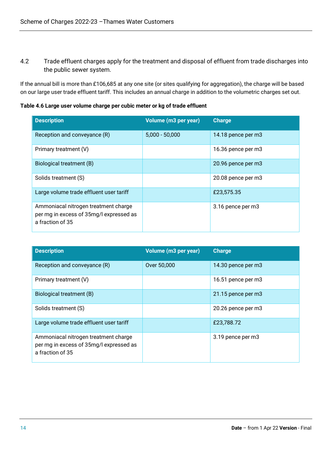4.2 Trade effluent charges apply for the treatment and disposal of effluent from trade discharges into the public sewer system.

If the annual bill is more than £106,685 at any one site (or sites qualifying for aggregation), the charge will be based on our large user trade effluent tariff. This includes an annual charge in addition to the volumetric charges set out.

**Table 4.6 Large user volume charge per cubic meter or kg of trade effluent**

| <b>Description</b>                                                                                  | Volume (m3 per year) | <b>Charge</b>      |
|-----------------------------------------------------------------------------------------------------|----------------------|--------------------|
| Reception and conveyance (R)                                                                        | $5,000 - 50,000$     | 14.18 pence per m3 |
| Primary treatment (V)                                                                               |                      | 16.36 pence per m3 |
| Biological treatment (B)                                                                            |                      | 20.96 pence per m3 |
| Solids treatment (S)                                                                                |                      | 20.08 pence per m3 |
| Large volume trade effluent user tariff                                                             |                      | £23,575.35         |
| Ammoniacal nitrogen treatment charge<br>per mg in excess of 35mg/l expressed as<br>a fraction of 35 |                      | 3.16 pence per m3  |

| <b>Description</b>                                                                                  | Volume (m3 per year) | <b>Charge</b>      |
|-----------------------------------------------------------------------------------------------------|----------------------|--------------------|
| Reception and conveyance (R)                                                                        | Over 50,000          | 14.30 pence per m3 |
| Primary treatment (V)                                                                               |                      | 16.51 pence per m3 |
| Biological treatment (B)                                                                            |                      | 21.15 pence per m3 |
| Solids treatment (S)                                                                                |                      | 20.26 pence per m3 |
| Large volume trade effluent user tariff                                                             |                      | £23,788.72         |
| Ammoniacal nitrogen treatment charge<br>per mg in excess of 35mg/l expressed as<br>a fraction of 35 |                      | 3.19 pence per m3  |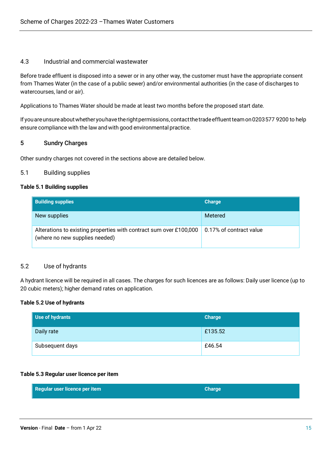#### 4.3 Industrial and commercial wastewater

Before trade effluent is disposed into a sewer or in any other way, the customer must have the appropriate consent from Thames Water (in the case of a public sewer) and/or environmental authorities (in the case of discharges to watercourses, land or air).

Applications to Thames Water should be made at least two months before the proposed start date.

If you are unsure about whether you have the right permissions, contact the trade effluent team on 0203577 9200 to help ensure compliance with the law and with good environmental practice.

# 5 Sundry Charges

Other sundry charges not covered in the sections above are detailed below.

#### 5.1 Building supplies

#### **Table 5.1 Building supplies**

| <b>Building supplies</b>                                                                             | <b>Charge</b>           |
|------------------------------------------------------------------------------------------------------|-------------------------|
| New supplies                                                                                         | Metered                 |
| Alterations to existing properties with contract sum over £100,000<br>(where no new supplies needed) | 0.17% of contract value |

#### 5.2 Use of hydrants

A hydrant licence will be required in all cases. The charges for such licences are as follows: Daily user licence (up to 20 cubic meters); higher demand rates on application.

#### **Table 5.2 Use of hydrants**

| Use of hydrants | <b>Charge</b> |
|-----------------|---------------|
| Daily rate      | £135.52       |
| Subsequent days | £46.54        |

#### **Table 5.3 Regular user licence per item**

| Regular user licence per item | <b>Charge</b> |
|-------------------------------|---------------|
|                               |               |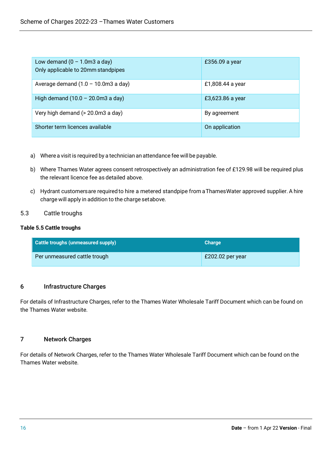| Low demand $(0 - 1.0 \text{m}3 \text{ a day})$<br>Only applicable to 20mm standpipes | £356.09 a year   |
|--------------------------------------------------------------------------------------|------------------|
| Average demand $(1.0 - 10.0 \text{m}3 \text{ a day})$                                | £1,808.44 a year |
| High demand $(10.0 - 20.0$ m3 a day)                                                 | £3,623.86 a year |
| Very high demand (> 20.0m3 a day)                                                    | By agreement     |
| Shorter term licences available                                                      | On application   |

- a) Where a visit is required by a technician an attendance fee will be payable.
- b) Where Thames Water agrees consent retrospectively an administration fee of £129.98 will be required plus the relevant licence fee as detailed above.
- c) Hydrant customersare required to hire a metered standpipe from aThamesWater approved supplier. A hire charge will apply in addition to the charge setabove.

# 5.3 Cattle troughs

#### **Table 5.5 Cattle troughs**

| Cattle troughs (unmeasured supply) | <b>Charge</b>    |
|------------------------------------|------------------|
| Per unmeasured cattle trough       | £202.02 per year |

# 6 Infrastructure Charges

For details of Infrastructure Charges, refer to the Thames Water Wholesale Tariff Document which can be found on the Thames Water website.

# 7 Network Charges

For details of Network Charges, refer to the Thames Water Wholesale Tariff Document which can be found on the Thames Water website.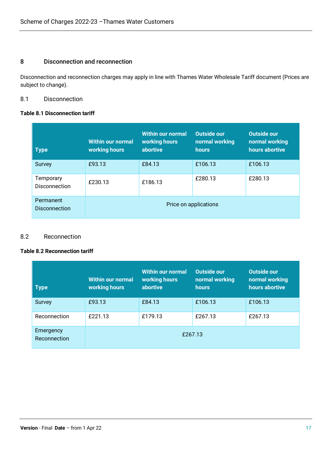# 8 Disconnection and reconnection

Disconnection and reconnection charges may apply in line with Thames Water Wholesale Tariff document (Prices are subject to change).

#### 8.1 Disconnection

#### **Table 8.1 Disconnection tariff**

| <b>Type</b>                       | <b>Within our normal</b><br>working hours | <b>Within our normal</b><br>working hours<br>abortive | <b>Outside our</b><br>normal working<br><b>hours</b> | <b>Outside our</b><br>normal working<br>hours abortive |
|-----------------------------------|-------------------------------------------|-------------------------------------------------------|------------------------------------------------------|--------------------------------------------------------|
| Survey                            | £93.13                                    | £84.13                                                | £106.13                                              | £106.13                                                |
| Temporary<br><b>Disconnection</b> | £230.13                                   | £186.13                                               | £280.13                                              | £280.13                                                |
| Permanent<br><b>Disconnection</b> | Price on applications                     |                                                       |                                                      |                                                        |

# 8.2 Reconnection

#### **Table 8.2 Reconnection tariff**

| <b>Type</b>               | <b>Within our normal</b><br>working hours | <b>Within our normal</b><br>working hours<br>abortive | Outside our<br>normal working<br><b>hours</b> | Outside our<br>normal working<br>hours abortive |
|---------------------------|-------------------------------------------|-------------------------------------------------------|-----------------------------------------------|-------------------------------------------------|
| Survey                    | £93.13                                    | £84.13                                                | £106.13                                       | £106.13                                         |
| Reconnection              | £221.13                                   | £179.13                                               | £267.13                                       | £267.13                                         |
| Emergency<br>Reconnection |                                           |                                                       | £267.13                                       |                                                 |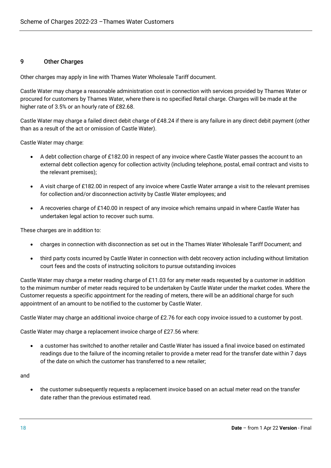#### 9 Other Charges

Other charges may apply in line with Thames Water Wholesale Tariff document.

Castle Water may charge a reasonable administration cost in connection with services provided by Thames Water or procured for customers by Thames Water, where there is no specified Retail charge. Charges will be made at the higher rate of 3.5% or an hourly rate of £82.68.

Castle Water may charge a failed direct debit charge of £48.24 if there is any failure in any direct debit payment (other than as a result of the act or omission of Castle Water).

Castle Water may charge:

- A debt collection charge of £182.00 in respect of any invoice where Castle Water passes the account to an external debt collection agency for collection activity (including telephone, postal, email contract and visits to the relevant premises);
- A visit charge of £182.00 in respect of any invoice where Castle Water arrange a visit to the relevant premises for collection and/or disconnection activity by Castle Water employees; and
- A recoveries charge of £140.00 in respect of any invoice which remains unpaid in where Castle Water has undertaken legal action to recover such sums.

These charges are in addition to:

- charges in connection with disconnection as set out in the Thames Water Wholesale Tariff Document; and
- third party costs incurred by Castle Water in connection with debt recovery action including without limitation court fees and the costs of instructing solicitors to pursue outstanding invoices

Castle Water may charge a meter reading charge of £11.03 for any meter reads requested by a customer in addition to the minimum number of meter reads required to be undertaken by Castle Water under the market codes. Where the Customer requests a specific appointment for the reading of meters, there will be an additional charge for such appointment of an amount to be notified to the customer by Castle Water.

Castle Water may charge an additional invoice charge of £2.76 for each copy invoice issued to a customer by post.

Castle Water may charge a replacement invoice charge of £27.56 where:

• a customer has switched to another retailer and Castle Water has issued a final invoice based on estimated readings due to the failure of the incoming retailer to provide a meter read for the transfer date within 7 days of the date on which the customer has transferred to a new retailer;

and

• the customer subsequently requests a replacement invoice based on an actual meter read on the transfer date rather than the previous estimated read.